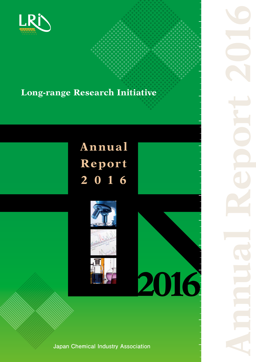

# **Long-range Research Initiative**

# **Annual Repor t 2 0 1 6**





**rt** 

**Japan Chemical Industry Association**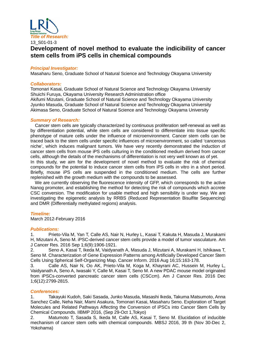

# **Development of novel method to evaluate the indicibility of cancer stem cells from iPS cells in chemical compounds**

#### *Principal Investigator:*

Masaharu Seno, Graduate School of Natural Science and Technology Okayama University

#### *Collaborators:*

Tomonari Kasai, Graduate School of Natural Science and Technology Okayama University Shuichi Furuya, Okayama University Research Administration office Akifumi Mizutani, Graduate School of Natural Science and Technology Okayama University Jyunko Masuda, Graduate School of Natural Science and Technology Okayama University Akimasa Seno, Graduate School of Natural Science and Technology Okayama University

#### *Summary of Research:*

Cancer stem cells are typically characterized by continuous proliferation self-renewal as well as by differentiation potential, while stem cells are considered to differentiate into tissue specific phenotype of mature cells under the influence of microenvironment. Cancer stem cells can be traced back to the stem cells under specific influences of microenvironment, so called 'cancerous niche', which induces malignant tumors. We have very recently demonstrated the induction of cancer stem cells from mouse iPS cells culturing in the conditioned medium derived from cancer cells, although the details of the mechanisms of differentiation is not very well known as of yet.

In this study, we aim for the development of novel method to evaluate the risk of chemical compounds for the potential to induce cancer stem cells from iPS cells in vitro in a short period. Briefly, mouse iPS cells are suspended in the conditioned medium. The cells are further replenished with the growth medium with the compounds to be assessed.

We are currently observing the fluorescence intensity of GFP, which corresponds to the active Nanog promoter, and establishing the method for detecting the risk of compounds which accrete CSC conversion. The modification for usable method and high sensibility is under way. We are investigating the epigenetic analysis by RRBS (Reduced Representation Bisulfite Sequencing) and DMR (Differentially methylated regions) analysis.

#### *Timeline:*

March 2012-February 2016

#### *Publications:*

1. Prieto-Vila M, Yan T, Calle AS, Nair N, Hurley L, Kasai T, Kakuta H, Masuda J, Murakami H, Mizutani A, Seno M. iPSC-derived cancer stem cells provide a model of tumor vasculature. Am J Cancer Res. 2016 Sep 1;6(9):1906-1921.

2. Seno A, Kasai T, Ikeda M, Vaidyanath A, Masuda J, Mizutani A, Murakami H, Ishikawa T, Seno M. Characterization of Gene Expression Patterns among Artificially Developed Cancer Stem Cells Using Spherical Self-Organizing Map. Cancer Inform. 2016 Aug 16;15:163-178.

3. Calle AS, Nair N, Oo AK, Prieto-Vila M, Koga M, Khayrani AC, Hussein M, Hurley L, Vaidyanath A, Seno A, Iwasaki Y, Calle M, Kasai T, Seno M. A new PDAC mouse model originated from iPSCs-converted pancreatic cancer stem cells (CSCcm). Am J Cancer Res. 2016 Dec 1;6(12):2799-2815.

# *Conferences:*

1. Takayuki Kudoh, Saki Sasada, Junko Masuda, Masashi Ikeda, Takuma Matsumoto, Anna Sanchez Calle, Neha Nair, Mami Asakura, Tomonari Kasai, Masaharu Seno. Exploration of Target Molecules and Related Pathways Affecting the Conversion of iPSCs into Cancer Stem Cells by Chemical Compounds. IIBMP 2016, (Sep 29-Oct 1,Tokyo)

2. Matumoto T, Sasada S, Ikeda M, Calle AS, Kasai T, Seno M. Elucidation of inducible mechanism of cancer stem cells with chemical compounds. MBSJ 2016, 39 th (Nov 30-Dec 2, Yokohama)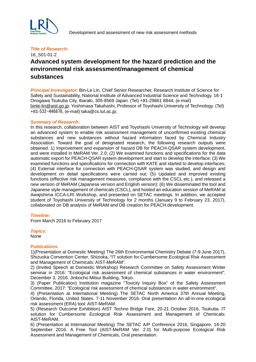

# 16\_S01-01-2 **Advanced system development for the hazard prediction and the environmental risk assessment/management of chemical substances**

*Principal Investigator:* Bin-Le Lin, Chief Senior Researcher, Research Institute of Science for Safety and Sustainability, National Institute of Advanced Industrial Science and Technology. 16-1 Onogawa Tsukuba City, Ibaraki, 305-8569 Japan. (Tel) +81-29861 8844, (e-mail) [binle-lin@aist.go.jp:](mailto:binle-lin@aist.go.jp) Yoshimasa Takahashi, Professor of Toyohashi University of Technology. (Tel) +81-532-446878, (e-mail) taka@cs.tut.ac.jp;

#### *Summary of Research:*

In this research, collaboration between AIST and Toyohashi University of Technology will develop an advanced system to enable risk assessment management of unconfirmed existing chemical substances and new substances without hazard information faced by Chemical Industry Association. Toward the goal of designated research, the following research outputs were obtained. 1) Improvement and expansion of hazard DB for PEACH-QSAR system development, and were installed in MeRAM Ver. 2.0; (2) We examined functions and specifications for the data automatic export for PEACH-QSAR system development and start to develop the interface; (3) We examined functions and specifications for connection with KATE and started to develop interfaces; (4) External interface for connection with PEACH-QSAR system was studied, and design and development on detail specifications were carried out; (5) Updated and improved existing functions (effective risk management measures, compliance with the CSCL etc.), and released a new version of MeRAM (Japanese version and English version); (6) We disseminated the tool and Japanese style management of chemicals (CSCL), and hosted an education session of MeRAM at Awajishima ICCA-LRI Workshop, and presented on SETAC meetings. In addition, we accepted student of Toyohashi University of Technology for 2 months (January 9 to February 23, 2017), collaborated on DB analysis of MeRAM and DB creation for PEACH development.

#### *Timeline:*

From March 2016 to February 2017

#### *Topics:*

None

#### *Publications:*

1)(Presentation at Domestic Meeting) The 26th Environmental Chemistry Debate (7-9 June 2017), Shizuoka Convention Center, Shizioka, "IT solution for Cumbersome Ecological Risk Assessment and Management of Chemicals: AIST-MeRAM".

2) (Invited Speech at Domestic Workshop) Research Committee on Safety Assessment Winter seminar in 2016: "Ecological risk assessment of chemical substances in water environment". December 3, 2016. Jinbocho Mitsui Building, Tokyo.

3) (Paper Publication) Institution magazine "Toxicity Inquiry Box" of the Safety Assessment Committee, 2017: "Ecological risk assessment of chemical substances in water environment".

4) (Presentation at International Meeting) The SETAC North America 37th Annual Meeting, Orlando, Florida, United States. 7-11 November 2016. Oral presentation An all-in-one ecological risk assessment (ERA) tool: AIST-MeRAM.

5) (Research Outcome Exhibition) AIST Techno Bridge Fare, 20-21 October 2016, Tsukuba. IT solution for Cumbersome Ecological Risk Assessment and Management of Chemicals: AIST-MeRAM.

6) (Presentation at International Meeting) The SETAC A/P Conference 2016, Singapore, 14-20 September 2016. A Free Tool (AIST-MeRAM Ver. 2.0) for Multi-purpose Ecological Risk Assessment and Management of Chemicals, Oral presentation.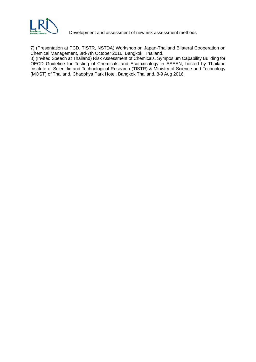

Development and assessment of new risk assessment methods

7) (Presentation at PCD, TISTR, NSTDA) Workshop on Japan-Thailand Bilateral Cooperation on Chemical Management, 3rd-7th October 2016, Bangkok, Thailand.

8) (Invited Speech at Thailand) Risk Assessment of Chemicals. Symposium Capability Building for OECD Guideline for Testing of Chemicals and Ecotoxicology in ASEAN, hosted by Thailand Institute of Scientific and Technological Research (TISTR) & Ministry of Science and Technology (MOST) of Thailand, Chaophya Park Hotel, Bangkok Thailand, 8-9 Aug 2016.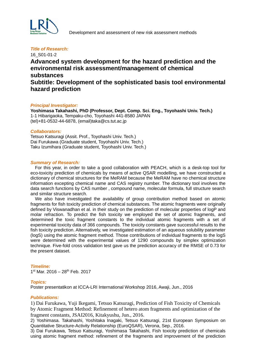

### 16\_S01-01-2 **Advanced system development for the hazard prediction and the environmental risk assessment/management of chemical substances Subtitle: Development of the sophisticated basis tool environmental hazard prediction**

#### *Principal Investigator:*

**Yoshimasa Takahashi, PhD (Professor, Dept. Comp. Sci. Eng., Toyohashi Univ. Tech.)** 1-1 Hibarigaoka, Tempaku-cho, Toyohashi 441-8580 JAPAN (tel)+81-0532-44-6878, (email)taka@cs.tut.ac.jp

#### *Collaborators:*

Tetsuo Katsuragi (Assit. Prof., Toyohashi Univ. Tech.) Dai Furukawa (Graduate student, Toyohashi Univ. Tech.) Taku Izumihara (Graduate student, Toyohashi Univ. Tech.)

#### *Summary of Research:*

For this year, in order to take a good collaboration with PEACH, which is a desk-top tool for eco-toxicity prediction of chemicals by means of active QSAR modelling, we have constructed a dictionary of chemical structures for the MeRAM because the MeRAM have no chemical structure information excepting chemical name and CAS registry number. The dictionary tool involves the data search functions by CAS number , compound name, molecular formula, full structure search and similar structure search.

We also have investigated the availability of group contribution method based on atomic fragments for fish toxicity prediction of chemical substances. The atomic fragments were originally defined by Viswanadhan et al. in their study on the prediction of molecular properties of logP and molar refraction. To predict the fish toxicity we employed the set of atomic fragments, and determined the toxic fragment constants to the individual atomic fragments with a set of experimental toxicity data of 366 compounds. The toxicity constants gave successful results to the fish toxicity prediction. Alternatively, we investigated estimation of an aqueous solubility parameter (logS) using the atomic fragment method. Those contributions of individual fragments to the logS were determined with the experimental values of 1290 compounds by simplex optimization technique. Five-fold cross validation test gave us the prediction accuracy of the RMSE of 0.73 for the present dataset.

#### *Timeline:*

1st Mar. 2016 - 28<sup>th</sup> Feb. 2017

#### *Topics:*

Poster presentatikon at ICCA-LRI International Workshop 2016, Awaji, Jun., 2016

#### *Publications:*

1) Dai Furukawa, Yuji Ikegami, Tetsuo Katsuragi, Prediction of Fish Toxicity of Chemicals by Atomic Fragment Method: Refinement of hetero atom fragments and optimization of the fragment constants, JSAI2016, Kitakyushu, Jun., 2016.

2) Yoshimasa. Takahashi, Yoshitaka Inagaki, Tetsuo Katsuragi, 21st European Symposium on Quantitative Structure-Activity Relationship (EuroQSAR), Verona, Sep., 2016.

3) Dai Furukawa, Tetsuo Katsuragi, Yoshimasa Takahashi, Fish toxicity prediction of chemicals using atomic fragment method: refinement of the fragments and improvement of the prediction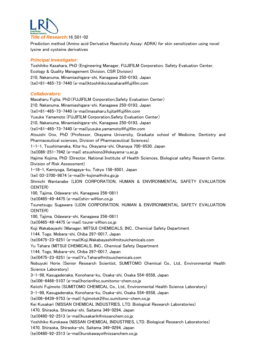

Prediction method (Amino acid Derivative Reactivity Assay: ADRA) for skin sensitization using novel lysine and cysteine derivatives

#### *Principal Investigator:*

Toshihiko Kasahara, PhD (Engineering Manager, FUJIFILM Corporation, Safety Evaluation Center, Ecology & Quality Management Division, CSR Division) 210, Nakanuma, Minamiashigara-shi, Kanagawa 250-0193, Japan (tel)+81-465-73-7440 (e-mail)ktoshihiko.kasahara@fujifilm.com

#### *Collaborators:*

Masaharu Fujita, PhD(FUJIFILM Corporation,Safety Evaluation Center) 210, Nakanuma, Minamiashigara-shi, Kanagawa 250-0193, Japan (tel)+81-465-73-7440 (e-mail[\)masaharu.fujita@fujifilm.com](mailto:masaharu.fujita@fujifilm.com) Yusuke Yamamoto (FUJIFILM Corporation,Safety Evaluation Center) 210, Nakanuma, Minamiashigara-shi, Kanagawa 250-0193, Japan (tel)+81-465-73-7440 (e-mail[\)yusuke.yamamoto@fujifilm.com](mailto:yusuke.yamamoto@fujifilm.com) Atsuishi Ono, PhD (Professor, Okayama University, Graduate school of Medicine, Dentistry and Pharmaceutical sciences, Division of Pharmaceutical Sciences) 1-1-1, Tsushimanaka, Kita-ku, Okayama-shi, Okanaya 700-8530, Japan (tel)086-251-7942 (e-mail) atsushiono3@okayama-u.ac.jp Hajime Kojima, PhD (Director, National Institute of Health Sciences, Biological safety Research Center, Division of Risk Assessment) 1-18-1, Kamiyoga, Setagaya-ku, Tokyo 158-8501, Japan (tel) 03-3700-9874 (e-mail)h-kojima@nihs.go.jp Shinichi Wantanabe (LION CORPORATION, HUMAN & ENVIRONMENTAL SAFETY EVALUATION CENTER) 100, Tajima, Odawara-shi, Kanagawa 256-0811 (tel)0465-49-4475 (e-mail[\)shin-w@lion.co.jp](mailto:shin-w@lion.co.jp) Tsunetsugu Sugawara (LION CORPORATION, HUMAN & ENVIRONMENTAL SAFETY EVALUATION CENTER) 100, Tajima, Odawara-shi, Kanagawa 256-0811 (tel)0465-49-4475 (e-mail) [tsune-s@lion.co.jp](mailto:tsune-s@lion.co.jp) Koji Wakabayashi (Manager, MITSUI CHEMICALS, INC., Chemical Safety Department 1144, Togo, Mobara-shi, Chiba 297-0017, Japan (tel)0475-23-8251 (e-mail[\)Koji.Wakabayashi@mitsuichemicals.com](mailto:Koji.Wakabayashi@mitsuichemicals.com) Yu Tahara (MITSUI CHEMICALS, INC., Chemical Safety Department 1144, Togo, Mobara-shi, Chiba 297-0017, Japan (tel)0475-23-8251 (e-mail[\)Yu.Tahara@mitsuichemicals.com](mailto:Yu.Tahara@mitsuichemicals.com) Nobuyuki Horie (Senior Research Scientist, SUMITOMO Chemical Co., Ltd., Environmental Health Science Laboratory) 3-1-98, Kasugadenaka, Konohana-ku, Osaka-shi, Osaka 554-8558, Japan (tel)06-6466-5107 (e-mail[\)horien@sc.sumitomo-chem.co.jp](mailto:horien@sc.sumitomo-chem.co.jp) Keiichi Fujimoto (SUMITOMO CHEMICAL Co., Ltd., Environmental Health Science Laboratory) 3-1-98, Kasugadenaka, Konohana-ku, Osaka-shi, Osaka 554-8558, Japan (tel)06-6439-9753 (e-mail) [fujimotok2@sc.sumitomo-chem.co.jp](mailto:fujimotok2@sc.sumitomo-chem.co.jp) Kei Kusakari (NISSAN CHEMICAL INDUSTRIES, LTD. Biological Research Laboratories) 1470, Shiraoka, Shiraoka-shi, Saitama 349-0294, Japan (tel)0480-92-2513 (e-mail[\)kusakarik@nissanchem.co.jp](mailto:kusakarik@nissanchem.co.jp) Yoshihiko Kurokawa (NISSAN CHEMICAL INDUSTRIES, LTD. Biological Research Laboratories) 1470, Shiraoka, Shiraoka-shi, Saitama 349-0294, Japan (tel)0480-92-2513 (e-mail[\)kurokawayo@nissanchem.co.jp](mailto:kurokawayo@nissanchem.co.jp)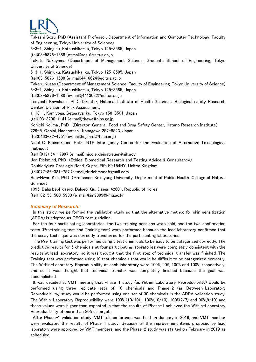

Takashi Sozu, PhD (Assistant Professor, Department of Information and Computer Technology, Faculty of Engineering, Tokyo University of Science)

6-3-1, Shinjuku, Katsushika-ku, Tokyo 125-8585, Japan

(tel)03-5876-1688 (e-mail[\)sozu@rs.tus.ac.jp](mailto:sozu@rs.tus.ac.jp)

Takuto Nakayama (Department of Management Science, Graduate School of Engineering, Tokyo University of Science)

6-3-1, Shinjuku, Katsushika-ku, Tokyo 125-8585, Japan

(tel)03-5876-1688 (e-mail)4416624@ed.tus.ac.jp

Takeru Kusao (Department of Management Science, Faculty of Engineering, Tokyo University of Science) 6-3-1, Shinjuku, Katsushika-ku, Tokyo 125-8585, Japan

(tel)03-5876-1688 (e-mail)j4413022@ed.tus.ac.jp

Tsuyoshi Kawakami, PhD (Director, National Institute of Health Sciences, Biological safety Research Center, Division of Risk Assessment)

1-18-1, Kamiyoga, Setagaya-ku, Tokyo 158-8501, Japan

(tel) 03-3700-1141 (e-mail[\)tkawa@nihs.go.jp](mailto:tkawa@nihs.go.jp)

Kohichi Kojima、PhD (Director-General, Food and Drug Safety Center, Hatano Research Institute)

729-5, Ochiai, Hadano-shi, Kanagawa 257-8523, Japan

(tel)0463-82-4751 (e-mail[\)kojima.k@fdsc.or.jp](mailto:kojima.k@fdsc.or.jp)

Nicol C. Kleinstreuer, PhD (NTP Interagency Center for the Evaluation of Alternative Toxicological methods)

(tel) (919) 541-7997 (e-mail) [nicole.kleinstreuer@nih.gov](mailto:nicole.kleinstreuer@nih.gov)

Jon Richmind, PhD (Ethical Biomedical Research and Testing Advice & Consultancy)

Doubledykes Carslogie Road, Cupar, Fife KY154HY, United Kingdom

(tel)077-86-381-757 (e-mail[\)dr.richmond@gmail.com](mailto:dr.richmond@gmail.com)

Bae-Hwan Kim, PhD (Professor, Keimyung University, Department of Public Health, College of Natural Science)

1095, Dalgubeol-daero, Dalseo-Gu, Daegu 42601, Republic of Korea

(tel)+82-53-580-5933 (e-mail[\)kim9399@kmu.ac.kr](mailto:kim9399@kmu.ac.kr)

#### *Summary of Research:*

In this study, we performed the validation study so that the alternative method for skin sensitization (ADRA) is adopted as OECD test guideline.

For the four participating laboratories, the two training sessions were held, and the two confirmation tests (Pre-training test and Training test) were performed because the lead laboratory confirmed that the assay technique was correctly transferred for the participating laboratories.

The Pre-training test was performed using 5 test chemicals to be easy to be categorized correctly. The predictive results for 5 chemicals at four participating laboratories were completely consistent with the results at lead laboratory, so it was thought that the first step of technical transfer was finished. The Training test was performed using 10 test chemicals that would be difficult to be categorized correctly. The Within-Laboratory Reproducibility at each laboratory were 100%, 90%, 100% and 100%, respectively, and so it was thought that technical transfer was completely finished because the goal was accomplished.

It was decided at VMT meeting that Phase-1 study (as Within-Laboratory Reproducibility) would be performed using three replicate sets of 10 chemicals and Phase-2 (as Between-Laboratory Reproducibility) study would be performed using one set of 30 chemicals in the ADRA validation study. The Within-Laboratory Reproducibility were 100% (10/10) , 100%(10/10), 100%(7/7) and 90%(9/10) and these values were higher than expected in that the results of Phase-1 achieved the Within-Laboratory Reproducibility of more than 80% of target.

After Phase-1 validation study, VMT teleconference was held on January in 2019, and VMT member were evaluated the results of Phase-1 study. Because all the improvement items proposed by lead laboratory were approved by VMT members, and the Phase-2 study was started on February in 2019 as scheduled.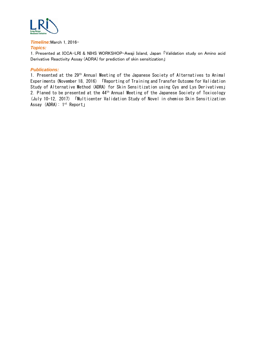

*Timeline:*March 1, 2016- *Topics:*

1. Presented at ICCA-LRI & NIHS WORKSHOP-Awaji Island, Japan 「Validation study on Amino acid Derivative Reactivity Assay (ADRA) for prediction of skin sensitization」

#### *Publications:*

1. Presented at the 29th Annual Meeting of the Japanese Society of Alternatives to Animal Experiments (November 18, 2016) 「Reporting of Training and Transfer Outcome for Validation Study of Alternative Method (ADRA) for Skin Sensitization using Cys and Lys Derivatives」 2. Planed to be presented at the 44<sup>th</sup> Annual Meeting of the Japanese Society of Toxicology (July 10-12, 2017) 「Multicenter Validation Study of Novel in chemico Skin Sensitization Assay (ADRA): 1st Report」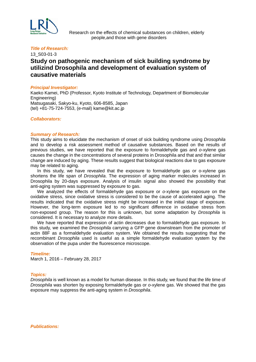

 Research on the effects of chemical substances on children, elderly people,and those with gene disorders

#### *Title of Research:*

### 13\_S03-01-3 **Study on pathogenic mechanism of sick building syndrome by utilizind Drosophila and development of evaluation system of causative materials**

#### *Principal Investigator:*

Kaeko Kamei, PhD (Professor, Kyoto Institute of Technology, Department of Biomolecular Engineering) Matsugasaki, Sakyo-ku, Kyoto, 606-8585, Japan (tel) +81-75-724-7553, (e-mail) kame@kit.ac.jp

#### *Collaborators:*

#### *Summary of Research:*

This study aims to elucidate the mechanism of onset of sick building syndrome using *Drosophila*  and to develop a risk assessment method of causative substances. Based on the results of previous studies, we have reported that the exposure to formaldehyde gas and *o*-xylene gas causes the change in the concentrations of several proteins in Drosophila and that and that similar change are induced by aging. These results suggest that biological reactions due to gas exposure may be related to aging.

 In this study, we have revealed that the exposure to formaldehyde gas or o-xylene gas shortens the life span of *Drosophila*. The expression of aging marker molecules increased in Drosophila by 20-days exposure. Analysis of insulin signal also showed the possibility that anti-aging system was suppressed by exposure to gas.

 We analyzed the effects of formaldehyde gas exposure or *o*-xylene gas exposure on the oxidative stress, since oxidative stress is considered to be the cause of accelerated aging. The results indicated that the oxidative stress might be increased in the initial stage of exposure. However, the long-term exposure led to no significant difference in oxidative stress from non-exposed group. The reason for this is unknown, but some adaptation by *Drosophila* is considered. It is necessary to analyze more details.

 We have reported that expression of actin decreases due to formaldehyde gas exposure. In this study, we examined the *Drosophila* carrying a GFP gene downstream from the promoter of actin 88F as a formaldehyde evaluation system. We obtained the results suggesting that the recombinant *Drosophila* used is useful as a simple formaldehyde evaluation system by the observation of the pupa under the fluorescence microscope.

#### *Timeline:*

March 1, 2016 – February 28, 2017

#### *Topics:*

*Drosophila* is well known as a model for human disease. In this study, we found that the life time of *Drosophila* was shorten by exposing formaldehyde gas or *o*-xylene gas. We showed that the gas exposure may suppress the anti-aging system in *Drosophila*.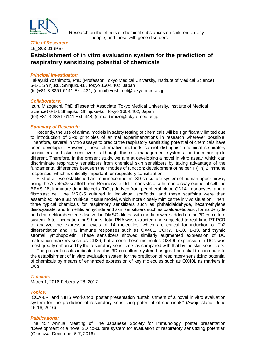

 Research on the effects of chemical substances on children, elderly people, and those with gene disorders

#### *Title of Research:* 15\_S03-01 (PS)

# **Establishment of in vitro evaluation system for the prediction of respiratory sensitizing potential of chemicals**

#### *Principal Investigator:*

Takayuki Yoshimoto, PhD (Professor, Tokyo Medical University, Institute of Medical Science) 6-1-1 Shinjuku, Shinjuku-ku, Tokyo 160-8402, Japan (tel)+81-3-3351-6141 Ext. 431, (e-mail) yoshimot@tokyo-med.ac.jp

#### *Collaborators:*

Izuru Mizoguchi, PhD (Research Associate, Tokyo Medical University, Institute of Medical Science) 6-1-1 Shinjuku, Shinjuku-ku, Tokyo 160-8402, Japan (tel) +81-3-3351-6141 Ext. 448, (e-mail) imizo@tokyo-med.ac.jp

#### *Summary of Research:*

Recently, the use of animal models in safety testing of chemicals will be significantly limited due to introduction of 3Rs principles of animal experimentations in research wherever possible. Therefore, several in vitro assays to predict the respiratory sensitizing potential of chemicals have been developed. However, these alternative methods cannot distinguish chemical respiratory sensitizers and skin sensitizers, although the risk management systems for them are quite different. Therefore, in the present study, we aim at developing a novel in vitro assay, which can discriminate respiratory sensitizers from chemical skin sensitizers by taking advantage of the fundamental differences between their modes of function; development of helper T (Th) 2 immune responses, which is critically important for respiratory sensitization.

First of all, we established an immunocompetent 3D co-culture system of human upper airway using the Alvetex® scaffold from Reinnervate Ltd. It consists of a human airway epithelial cell line BEAS-2B, immature dendritic cells (DCs) derived from peripheral blood CD14+ monocytes, and a fibroblast cell line MRC-5 cultured in individual scaffolds, and these scaffolds were then assembled into a 3D multi-cell tissue model, which more closely mimics the in vivo situation. Then, three typical chemicals for respiratory sensitizers such as phthaldialdehyde, hexamethylene diisocyanate, and trimellitic anhydride and skin sensitizers such as oxaloacetic acid, formaldehyde, and dinitrochlorobenzene disolved in DMSO diluted with medium were added on the 3D co-culture system. After incubation for 9 hours, total RNA was extracted and subjected to real-time RT-PCR to analyze the expression levels of 14 molecules, which are critical for induction of Th2 differentiation and Th2 immune responses such as OX40L, CCR7, IL-10, IL-33, and thymic stromal lymphopoietin. These sensitizers showed similarly augmented expression of DC maturation markers such as CD86, but among these molecules OX40L expression in DCs was most greatly enhanced by the respiratory sensitizers as compared with that by the skin sensitizers.

The present results indicate that this 3D co-culture system has great potential to contribute to the establishment of in vitro evaluation system for the prediction of respiratory sensitizing potential of chemicals by means of enhanced expression of key molecules such as OX40L as markers in DC<sub>s</sub>.

#### *Timeline:*

March 1, 2016-Feberary 28, 2017

#### *Topics:*

ICCA-LRI and NIHS Workshop, poster presentation "Establishment of a novel in vitro evaluation system for the prediction of respiratory sensitizing potential of chemicals" (Awaji Island, June 15-16, 2016)

#### *Publications:*

The 45th Annual Meeting of The Japanese Society for Immunology, poster presentation "Development of a novel 3D co-culture system for evaluation of respiratory sensitizing potential" (Okinawa, December 5-7, 2016)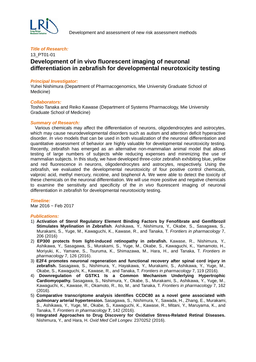

### 13\_PT01-01 **Development of in vivo fluorescent imaging of neuronal differentiation in zebrafish for developmental neurotoxicity testing**

#### *Principal Investigator:*

Yuhei Nishimura (Department of Pharmacogenomics, Mie University Graduate School of Medicine)

#### *Collaborators:*

Toshio Tanaka and Reiko Kawase (Department of Systems Pharmacology, Mie University Graduate School of Medicine)

#### *Summary of Research:*

 Various chemicals may affect the differentiation of neurons, oligodendrocytes and astrocytes, which may cause neurodevelopmental disorders such as autism and attention deficit hyperactive disorder. *In vivo* models that can be used in both visualization of the neuronal differentiation and quantitative assessment of behavior are highly valuable for developmental neurotoxicity testing. Recently, zebrafish has emerged as an alternative non-mammalian animal model that allows testing of large numbers of subjects while reducing expenses and minimizing the use of mammalian subjects. In this study, we have developed three-color zebrafish exhibiting blue, yellow and red fluorescence in neurons, oligodendrocytes and astrocytes, respectively. Using the zebrafish, we evaluated the developmental neurotoxicity of four positive control chemicals, valproic acid, methyl mercury, nicotine, and bisphenol A. We were able to detect the toxicity of these chemicals on the neuronal differentiation. We will use more positive and negative chemicals to examine the sensitivity and specificity of the *in vivo* fluorescent imaging of neuronal differentiation in zebrafish for developmental neurotoxicity testing.

#### *Timeline:*

Mar 2016 ~ Feb 2017

#### *Publications:*

- 1) **Activation of Sterol Regulatory Element Binding Factors by Fenofibrate and Gemfibrozil**  Stimulates Myelination in Zebrafish. Ashikawa, Y., Nishimura, Y., Okabe, S., Sasagawa, S., Murakami, S., Yuge, M., Kawaguchi, K., Kawase, R., and Tanaka, T. *Frontiers in pharmacology* 7, 206 (2016)
- 2) **EP300 protects from light-induced retinopathy in zebrafish.** Kawase, R., Nishimura, Y., Ashikawa, Y., Sasagawa, S., Murakami, S., Yuge, M., Okabe, S., Kawaguchi, K., Yamamoto, H., Moriyuki, K., Yamane, S., Tsuruma, K., Shimazawa, M., Hara, H., and Tanaka, T. *Frontiers in pharmacology* 7, 126 (2016).
- 3) **E2F4 promotes neuronal regeneration and functional recovery after spinal cord injury in zebrafish.** Sasagawa, S., Nishimura, Y., Hayakawa, Y., Murakami, S., Ashikawa, Y., Yuge, M., Okabe, S., Kawaguchi, K., Kawase, R., and Tanaka, T. *Frontiers in pharmacology* 7, 119 (2016).
- 4) **Downregulation of GSTK1 Is a Common Mechanism Underlying Hypertrophic Cardiomyopathy.** Sasagawa, S., Nishimura, Y., Okabe, S., Murakami, S., Ashikawa, Y., Yuge, M., Kawaguchi, K., Kawase, R., Okamoto, R., Ito, M., and Tanaka, T. *Frontiers in pharmacology* 7, 162 (2016).
- 5) **Comparative transcriptome analysis identifies CCDC80 as a novel gene associated with pulmonary arterial hypertension.** Sasagawa, S., Nishimura, Y., Sawada, H., Zhang, E., Murakami, S., Ashikawa, Y., Yuge, M., Okabe, S., Kawaguchi, K., Kawase, R., Mitani, Y., Maruyama, K., and Tanaka, T. *Frontiers in pharmacology* **7**, 142 (2016).
- 6) **Integrated Approaches to Drug Discovery for Oxidative Stress-Related Retinal Diseases.** Nishimura, Y., and Hara, H. *Oxid Med Cell Longev.* 2370252 (2016).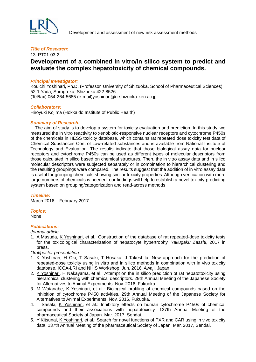

#### 13\_PT01-03-2

# **Development of a combined in vitro/in silico system to predict and evaluate the complex hepatotoxicity of chemical compounds.**

#### *Principal Investigator:*

Kouichi Yoshinari, Ph.D. (Professor, University of Shizuoka, School of Pharmaceutical Sciences) 52-1 Yada, Suruga-ku, Shizuoka 422-8526 (Tel/fax) 054-264-5685 (e-mail)yoshinari@u-shizuoka-ken.ac.jp

#### *Collaborators:*

Hiroyuki Kojima (Hokkaido Institute of Public Health)

#### *Summary of Research:*

 The aim of study is to develop a system for toxicity evaluation and prediction. In this study. we measured the in vitro reactivity to xenobiotic-responsive nuclear receptors and cytochrome P450s of the chemicals in HESS toxicity database, which contains rat repeated dose toxicity test data of Chemical Substances Control Law-related substances and is available from National Institute of Technology and Evaluation. The results indicate that those biological assay data for nuclear receptors and cytochrome P450s can be used as different types of molecular descriptors from those calculated in silico based on chemical structures. Then, the in vitro assay data and in silico molecular descriptors were subjected separately or in combination to hierarchical clustering and the resulting groupings were compared. The results suggest that the addition of in vitro assay data is useful for grouping chemicals showing similar toxicity properties. Although verification with more large numbers of chemicals is needed, our findings will help to establish a novel toxicity-predicting system based on grouping/categorization and read-across methods.

#### *Timeline:*

March 2016 – February 2017

#### *Topics:* None

#### *Publications:*

- *Journal article*
- 1. A Masuda, K Yoshinari, et al.: Construction of the database of rat repeated-dose toxicity tests for the toxicological characterization of hepatocyte hypertrophy. *Yakugaku Zasshi*, 2017 in press.

*Oral/poster presentation*

- 1. K Yoshinari, H Oki, T Sasaki, T Hosaka, J Takeshita: New approach for the prediction of repeated-dose toxicity using in vitro and in silico methods in combination with in vivo toxicity database. ICCA-LRI and NIHS Workshop. Jun. 2016, Awaji, Japan.
- 2. K Yoshinari, H Nakayama, et al.: Attempt on the in silico prediction of rat hepatotoxicity using hierarchical clustering with chemical descriptors. 29th Annual Meeting of the Japanese Society for Alternatives to Animal Experiments. Nov. 2016, Fukuoka.
- 3. M Watanabe, K Yoshinari, et al.: Biological profiling of chemical compounds based on the inhibition of cytochrome P450 activities. 29th Annual Meeting of the Japanese Society for Alternatives to Animal Experiments. Nov. 2016, Fukuoka.
- 4. T Sasaki, K Yoshinari, et al.: Inhibitory effects on human cytochrome P450s of chemical compounds and their associations with hepatotoxicity. 137th Annual Meeting of the pharmaceutical Society of Japan. Mar. 2017, Sendai.
- 5. Y Kitsunai, K Yoshinari, et al.: Search for novel functions of PXR and CAR using in vivo toxicity data. 137th Annual Meeting of the pharmaceutical Society of Japan. Mar. 2017, Sendai.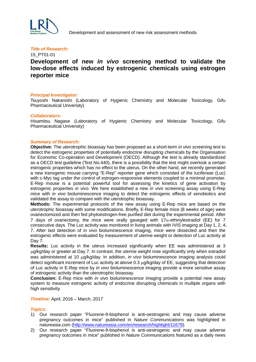

#### 15\_PT01-01

# **Development of new** *in vivo* **screening method to validate the low-dose effects induced by estrogenic chemicals using estrogen reporter mice**

#### *Principal Investigator:*

Tsuyoshi Nakanishi (Laboratory of Hygienic Chemistry and Molecular Toxicology, Gifu Pharmaceutical University)

#### *Collaborators:*

Hisamitsu Nagase (Laboratory of Hygienic Chemistry and Molecular Toxicology, Gifu Pharmaceutical University)

#### *Summary of Research:*

**Objective:** The uterotrophic bioassay has been proposed as a short-term *in vivo* screening test to detect the estrogenic properties of potentially endocrine disrupting chemicals by the Organisation for Economic Co-operation and Development (OECD). Although the test is already standardized as a OECD test guideline (Test No.440), there is a possibility that the test might overlook a certain estrogenic properties which has no effect to the uterus. On the other hand, we recently generated a new transgenic mouse carrying "E-Rep" reporter gene which consisted of the luciferase (Luc) with c-Myc tag under the control of estrogen-responsive elements coupled to a minimal promoter. E-Rep mouse is a potential powerful tool for assessing the kinetics of gene activation by estrogenic properties *in vivo*. We here established a new *in vivo* screening assay using E-Rep mice with *in vivo* bioluminescence imaging to detect the estrogenic effects of xenobiotics and validated the assay to compare with the uterotrophic bioassay.

**Methods:** The experimental protocols of the new assay using E-Rep mice are based on the uterotrophic bioassay with some modifications. Briefly, E-Rep female mice (8 weeks of age) were ovariectomized and then fed phytoestrogen-free purified diet during the experimental period. After

7 days of ovariectomy, the mice were orally gaveged with  $17\alpha$ -ethinylestradiol (EE) for 7 consecutive days. The Luc activity was monitored in living animals with IVIS imaging at Day 1, 2, 4, 7. After last detection of *in vivo* bioluminescence imaging, mice were dissected and then the estrogenic effects were evaluated by measurement of uterine weight or detection of Luc activity at Day 7.

**Results:** Luc activity in the uterus increased significantly when EE was administered at 3 µg/kg/day or greater at Day 7. In contrast, the uterine weight rose significantly only when estradiol was administered at 10 µg/kg/day. In addition, *in vivo* bioluminescence imaging analysis could detect significant increment of Luc activity at above 0.3 µg/kg/day of EE, suggesting that detection of Luc activity in E-Rep mice by *in vivo* bioluminescence imaging provide a more sensitive assay of estrogenic activity than the uterotrophic bioassay.

**Conclusion:** E-Rep mice with *in vivo* bioluminescence imaging provide a potential new assay system to measure estrogenic activity of endocrine disrupting chemicals in multiple organs with high sensitivity.

*Timeline:* April, 2016 – March, 2017

#### *Topics:*

- 1) Our research paper "Fluorene-9-bisphenol is anti-oestrogenic and may cause adverse pregnancy outcomes in mice" published in *Nature Communications* was highlighted in natureasia.com [\(http://www.natureasia.com/en/research/highlight/11678\)](http://www.natureasia.com/en/research/highlight/11678).
- 2) Our research paper "Fluorene-9-bisphenol is anti-oestrogenic and may cause adverse pregnancy outcomes in mice" published in *Nature Communications* featured as a daily news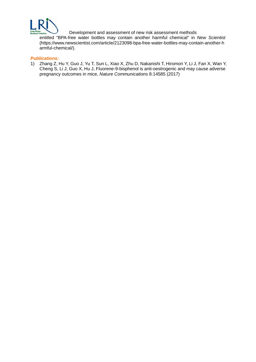

Development and assessment of new risk assessment methods

entitled "BPA-free water bottles may contain another harmful chemical" in *New Scientist* (https://www.newscientist.com/article/2123098-bpa-free-water-bottles-may-contain-another-h armful-chemical/).

#### *Publications:*

1) Zhang Z, Hu Y, Guo J, Yu T, Sun L, Xiao X, Zhu D, Nakanishi T, Hiromori Y, Li J, Fan X, Wan Y, Cheng S, Li J, Guo X, Hu J, Fluorene-9-bisphenol is anti-oestrogenic and may cause adverse pregnancy outcomes in mice, *Nature Communications* 8:14585 (2017)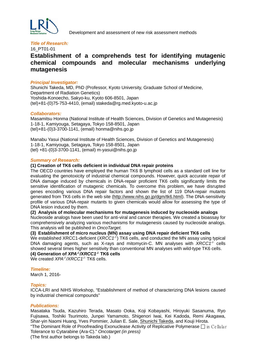

#### 16\_PT01-01

# **Establishment of a comprehends test for identifying mutagenic chemical compounds and molecular mechanisms underlying mutagenesis**

#### *Principal Investigator:*

Shunichi Takeda, MD, PhD (Professor, Kyoto University, Graduate School of Medicine, Department of Radiation Genetics) Yoshida-Konoecho, Sakyo-ku, Kyoto 606-8501, Japan (tel)+81-(0)75-753-4410, (email) stakeda@rg.med.kyoto-u.ac.jp

#### *Collaborators:*

Masamitsu Honma (National Institute of Health Sciences, Division of Genetics and Mutagenesis) 1-18-1, Kamiyouga, Setagaya, Tokyo 158-8501, Japan (tel)+81-(0)3-3700-1141, (email) honma@nihs.go.jp

Manabu Yasui (National Institute of Health Sciences, Division of Genetics and Mutagenesis) 1-18-1, Kamiyouga, Setagaya, Tokyo 158-8501, Japan (tel) +81-(0)3-3700-1141, (email) m-yasui@nihs.go.jp

#### *Summary of Research:*

#### **(1) Creation of TK6 cells deficient in individual DNA repair proteins**

The OECD countries have employed the human TK6 B lymphoid cells as a standard cell line for evaluating the genotoxicity of industrial chemical compounds. However, quick accurate repair of DNA damage induced by chemicals in DNA-repair proficient TK6 cells significantly limits the sensitive identification of mutagenic chemicals. To overcome this problem, we have disrupted genes encoding various DNA repair factors and shown the list of 119 DNA-repair mutants generated from TK6 cells in the web site [\(http://www.nihs.go.jp/dgm/tk6.html\)](http://www.nihs.go.jp/dgm/tk6.html). The DNA-sensitivity profile of various DNA-repair mutants to given chemicals would allow for assessing the type of DNA lesion induced by them.

#### **(2) Analysis of molecular mechanisms for mutagenesis induced by nucleoside analogs**

Nucleoside analogs have been used for anti-viral and cancer therapies. We created a bioassay for comprehensively analyzing various mechanisms for mutagenesis caused by nucleoside analogs. This analysis will be published in *OncoTarget.*

#### **(3) Establishment of micro nucleus (MN) assay using DNA repair deficient TK6 cells**

We established XRCC1-deficient (*XRCC1<sup>-/-</sup>*) TK6 cells, and conducted the MN assay using typical DNA damaging agents, such as X-rays and mitomycin-C. MN analyses with *XRCC1-/-* cells showed several times higher sensitivity than conventional MN analyses with wild-type TK6 cells. **(4) Generation of** *XPA-/- /XRCC1-/-* **TK6 cells**

We created *XPA<sup>-/-</sup>/XRCC1<sup>-/-</sup>* TK6 cells.

#### *Timeline:*

March 1, 2016-

#### *Topics:*

ICCA-LRI and NIHS Workshop, "Establishment of method of characterizing DNA lesions caused by industrial chemical compounds"

#### *Publications:*

Masataka Tsuda, Kazuhiro Terada, Masato Ooka, Koji Kobayashi, Hiroyuki Sasanuma, Ryo Fujisawa, Toshiki Tsurimoto, Junpei Yamamoto, Shigenori Iwai, Kei Kadoda, Remi Akagawa, Shar-yin Naomi Huang, Yves Pommier, Julian E. Sale, Shunichi Takeda, and Kouji Hirota.

"The Dominant Role of Proofreading Exonuclease Activity of Replicative Polymerase  $\Box$  in Ce llular Tolerance to Cytarabine (Ara-C)." *Oncotarget (in press)*

(The first author belongs to Takeda lab.)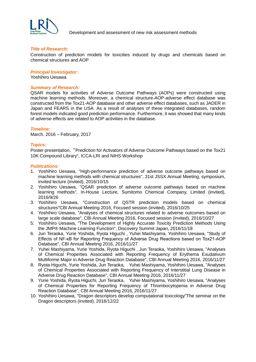

Development and assessment of new risk assessment methods

#### *Title of Research:*

Construction of prediction models for toxicities induced by drugs and chemicals based on chemical structures and AOP

#### *Principal Investigator:*

Yoshihiro Uesawa

#### *Summary of Research:*

QSAR models for activities of Adverse Outcome Pathways (AOPs) were constructed using machine learning methods. Moreover, a chemical structure-AOP-adverse effect database was constructed from the Tox21-AOP database and other adverse effect databases, such as JADER in Japan and FEARS in the USA. As a result of analyses of these integrated databases, random forest models indicated good prediction performance. Furthermore, it was showed that many kinds of adverse effects are related to AOP activities in the database.

#### *Timeline:*

March, 2016 – February, 2017

#### *Topics:*

Poster presentation, "Prediction for Activators of Adverse Outcome Pathways based on the Tox21 10K Compound Library", ICCA-LRI and NIHS Workshop

#### *Publications:*

- 1. Yoshihiro Uesawa, "High-performance prediction of adverse outcome pathways based on machine learning methods with chemical structures", 31st JSSX Annual Meeting, symposium, invited lecture (invited), 2016/10/15
- 2. Yoshihiro Uesawa, "QSAR prediction of adverse outcome pathways based on machine learning methods", In-House Lecture, Sumitomo Chemical Company, Limited (invited), 2016/9/26
- 3. Yoshihiro Uesawa, "Construction of QSTR prediction models based on chemical structures"CBI Annual Meeting 2016, Focused session (invited), 2016/10/25
- 4. Yoshihiro Uesawa, "Analyses of chemical structures related to adverse outcomes based on large scale database", CBI Annual Meeting 2016, Focused session (invited), 2016/10/27
- 5. Yoshihiro Uesawa, "The Development of Highly Accurate Toxicity Prediction Methods Using the JMP® Machine Learning Function", Discovery Summit Japan, 2016/11/18
- 6. Jun Teraoka, Yurie Yoshida, Ryota Higuchi , Yuhei Mashiyama, Yoshihiro Uesawa, "Study of Effects of NF-κB for Reporting Frequency of Adverse Drug Reactions based on Tox21-AOP Database", CBI Annual Meeting 2016, 2016/11/27
- 7. Yuhei Mashiyama, Yurie Yoshida, Ryota Higuchi , Jun Teraoka, Yoshihiro Uesawa, "Analyses of Chemical Properties Associated with Reporting Frequency of Erythema Exudativum Multiforme Major in Adverse Drug Reaction Database", CBI Annual Meeting 2016, 2016/11/27
- 8. Ryota Higuchi, Yurie Yoshida, Jun Teraoka, Yuhei Mashiyama, Yoshihiro Uesawa, "Analyses of Chemical Properties Associated with Reporting Frequency of Interstitial Lung Disease in Adverse Drug Reaction Database", CBI Annual Meeting 2016, 2016/11/27
- 9. Yurie Yoshida, Ryota Higuchi, Jun Teraoka, Yuhei Mashiyama, Yoshihiro Uesawa, "Analyses of Chemical Properties for Reporting Frequency of Thrombocytopenia in Adverse Drug Reaction Database", CBI Annual Meeting 2016, 2016/11/27
- 10. Yoshihiro Uesawa, "Dragon descriptors develop computational toxicology"The seminar on the Dragon descriptors (invited), 2016/12/22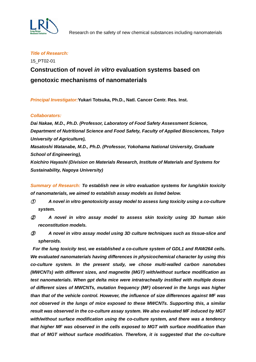

# 15\_PT02-01 **Construction of novel** *in vitro* **evaluation systems based on genotoxic mechanisms of nanomaterials**

*Principal Investigator:***Yukari Totsuka, Ph.D., Natl. Cancer Centr. Res. Inst.** 

#### *Collaborators:*

*Dai Nakae, M.D., Ph.D. (Professor, Laboratory of Food Safety Assessment Science, Department of Nutritional Science and Food Safety, Faculty of Applied Biosciences, Tokyo University of Agriculture),* 

*Masatoshi Watanabe, M.D., Ph.D. (Professor, Yokohama National University, Graduate School of Engineering),* 

*Koichiro Hayashi (Division on Materials Research, Institute of Materials and Systems for Sustainability, Nagoya University)*

*Summary of Research: To establish new in vitro evaluation systems for lung/skin toxicity of nanomaterials, we aimed to establish assay models as listed below.*

- ① *A novel in vitro genotoxicity assay model to assess lung toxicity using a co-culture system.*
- ② *A novel in vitro assay model to assess skin toxicity using 3D human skin reconstitution models.*
- ③ *A novel in vitro assay model using 3D culture techniques such as tissue-slice and spheroids.*

*For the lung toxicity test, we established a co-culture system of GDL1 and RAW264 cells. We evaluated nanomaterials having differences in physicochemical character by using this co-culture system. In the present study, we chose multi-walled carbon nanotubes (MWCNTs) with different sizes, and magnetite (MGT) with/without surface modification as test nanomaterials. When gpt delta mice were intratracheally instilled with multiple doses of different sizes of MWCNTs, mutation frequency (MF) observed in the lungs was higher than that of the vehicle control. However, the influence of size differences against MF was not observed in the lungs of mice exposed to these MWCNTs. Supporting this, a similar result was observed in the co-culture assay system. We also evaluated MF induced by MGT with/without surface modification using the co-culture system, and there was a tendency that higher MF was observed in the cells exposed to MGT with surface modification than that of MGT without surface modification. Therefore, it is suggested that the co-culture*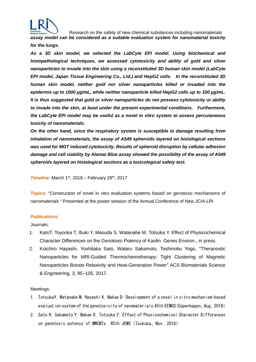

Research on the safety of new chemical substances including nanomaterials

*assay model can be considered as a suitable evaluation system for nanomaterial toxicity for the lungs.*

*As a 3D skin model, we selected the LabCyte EPI model. Using biochemical and histopathological techniques, we assessed cytotoxicity and ability of gold and silver nanoparticles to invade into the skin using a reconstituted 3D human skin model (LabCyte EPI model, Japan Tissue Engineering Co., Ltd.) and HepG2 cells. In the reconstituted 3D human skin model, neither gold nor silver nanoparticles killed or invaded into the epidermis up to 1000 µg/mL, while neither nanoparticle killed HepG2 cells up to 100 µg/mL. It is thus suggested that gold or silver nanoparticles do not possess cytotoxicity or ability to invade into the skin, at least under the present experimental conditions. Furthermore, the LabCyte EPI model may be useful as a novel in vitro system to assess percutaneous toxicity of nanomaterials.*

*On the other hand, since the respiratory system is susceptible to damage resulting from inhalation of nanomaterials, the assay of A549 spheroids layered on histological sections was used for MGT induced cytotoxicity. Results of spheroid disruption by cellular adhesion damage and cell viability by Alamar Blue assay showed the possibility of the assay of A549 spheroids layered on histological sections as a toxicological safety test.*

**Timeline:** March  $1<sup>st</sup>$ , 2016 – February 29<sup>th</sup>, 2017

**Topics:** "Construction of novel in vitro evaluation systems based on genotoxic mechanisms of nanomaterials " Presented at the poster session of the Annual Conference of New JCIA-LRI

#### *Publications:*

Journals:

- 1. KatoT, Toyooka T, Ibuki Y, Masuda S, Watanabe M, Totsuka Y. Effect of Physicochemical Character Differences on the Genotoxic Potency of Kaolin. Genes Environ., in press.
- 2. Koichiro Hayashi, Yoshitaka Sato, Wataru Sakamoto, Toshinobu Yogo, "Theranostic Nanoparticles for MRI-Guided Thermochemotherapy: Tight Clustering of Magnetic Nanoparticles Boosts Relaxivity and Heat-Generation Power" ACS Biomaterials Science & Engineering, 3, 95–105, 2017.

#### Meetings:

- 1. TotsukaY, Watanabe M, Hayashi K, Nakae D: Development of a novel in vitro mechanism-based evaluation system of the genotoxicity of nanomaterials 45th EEMGS(Copenhagen、Aug, 2016)
- 2. Sato H, Sakamoto Y, Nakae D, Totsuka Y: Effect of Physicochemical Character Differences on genotoxic potency of MWCNTs 45th JEMS(Tsukuba、Nov, 2016)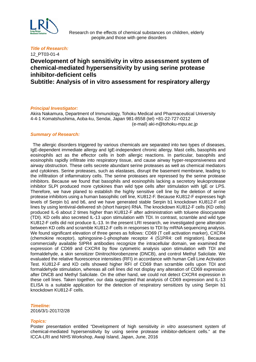

 Research on the effects of chemical substances on children, elderly people,and those with gene disorders

#### *Title of Research:* 12\_PT03-01-4

# **Development of high sensitivity in vitro assessment system of chemical-mediated hypersensitivity by using serine protease inhibitor-deficient cells**

**Subtitle: Analysis of in vitro assessment for respiratory allergy**

#### *Principal Investigator:*

Akira Nakamura, Department of Immunology, Tohoku Medical and Pharmaceutical University 4-4-1 Komatshushima, Aoba-ku, Sendai, Japan 981-8558 (tel) +81-22-727-0212 (e-mail) aki-n@tohoku-mpu.ac.jp

#### *Summary of Research:*

The allergic disorders triggered by various chemicals are separated into two types of diseases, IgE-dependent immediate allergy and IgE-independent chronic allergy. Mast cells, basophils and eosinophils act as the effector cells in both allergic reactions. In particular, basophils and eosinophils rapidly infiltrate into respiratory tissue, and cause airway hyper-responsiveness and airway obstruction. These cells secrete abundant serine proteases as well as chemical mediators and cytokines. Serine proteases, such as elastases, disrupt the basement membrane, leading to the infiltration of inflammatory cells. The serine proteases are repressed by the serine protease inhibitors. Because we found that basophils and eosinophils lacking a secretory leukoprotease inhibitor SLPI produced more cytokines than wild type cells after stimulation with IgE or LPS. Therefore, we have planed to establish the highly sensitive cell line by the deletion of serine protease inhibitors using a human basophilic cell line, KU812-F. Because KU812-F expresses high levels of Serpin b1 and b6, and we have generated stable Serpin b1 knockdown KU812-F cell lines by using lentiviral-delivered sh (short hairpin) RNA. The knockdown KU812-F cells (KD cells) produced IL-6 about 2 times higher than KU812-F after administration with toluene diisocyanate (TDI). KD cells also secreted IL-13 upon stimulation with TDI. In contrast, scramble and wild type KU812-F cells did not produce IL-13. In the present LRI research, we investigated gene alteration between KD cells and scramble KU812-F cells in responses to TDI by mRNA sequencing analysis. We found significant elevation of three genes as follows: CD69 (T cell activation marker), CXCR4 (chemokine receptor), sphingosine-1-phosphate receptor 4 (S1PR4: cell migration). Because commercially available SIPR4 antibodies recognize the intracellular domain, we examined the expression of CD69 and CXCR4 by flow cytometric analysis upon stimulation with TDI and formaldehyde, a skin sensitizer Dinitrochlorobenzene (DNCB), and control Methyl Salicilate. We evaluated the relative fluorescence intensities (RFI) in accordance with human Cell Line Activation Test. KU812-F and KD cells showed higher RFI of CD69 than scramble cells upon TDI and formaldehyde stimulation, whereas all cell lines did not display any alteration of CD69 expression after DNCB and Methyl Salicilate. On the other hand, we could not detect CXCR4 expression in these cell lines. Taken together, our data suggested that analysis of CD69 expression and IL-13 ELISA is a suitable application for the detection of respiratory sensitizes by using Serpin b1 knockdown KU812-F cells.

#### *Timeline:*

2016/3/1-2017/2/28

#### *Topics:*

Poster presentation entitled "Development of high sensitivity *in vitro* assessment system of chemical-mediated hypersensitivity by using serine protease inhibitor-deficient cells." at the ICCA-LRI and NIHS Workshop, Awaji Island, Japan, June, 2016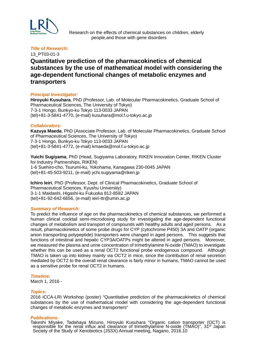

 Research on the effects of chemical substances on children, elderly people,and those with gene disorders

#### *Title of Research:*

13\_PT03-01-3

# **Quantitative prediction of the pharmacokinetics of chemical substances by the use of mathematical model with considering the age-dependent functional changes of metabolic enzymes and transporters**

#### *Principal Investigator:*

**Hiroyuki Kusuhara**, PhD (Professor, Lab. of Molecular Pharmacokinetics, Graduate School of Pharmaceutical Sciences, The University of Tokyo) 7-3-1 Hongo, Bunkyo-ku Tokyo 113-0033 JAPAN (tel)+81-3-5841-4770, (e-mail) kusuhara@mol.f.u-tokyo.ac.jp

#### *Collaborators:*

**Kazuya Maeda**, PhD (Associate Professor, Lab. of Molecular Pharmacokinetics, Graduate School of Pharmaceutical Sciences, The University of Tokyo) 7-3-1 Hongo, Bunkyo-ku Tokyo 113-0033 JAPAN (tel)+81-3-5841-4772, (e-mail) kmaeda@mol.f.u-tokyo.ac.jp

**Yuichi Sugiyama**, PhD (Head, Sugiyama Laboratory, RIKEN Innovation Center, RIKEN Cluster for Industry Partnerships, RIKEN) 1-6 Suehiro-cho, Tsurumi-ku, Yokohama, Kanagawa 230-0045 JAPAN (tel)+81-45-503-9211, (e-mail) ychi.sugiyama@riken.jp

**Ichiro Ieiri**, PhD (Professor, Dept. of Clinical Pharmacokinetics, Graduate School of Pharmaceutical Sciences, Kyushu University) 3-1-1 Maidashi, Higashi-ku Fukuoka 812-8582 JAPAN (tel)+81-92-642-6656, (e-mail) ieiri-ttr@umin.ac.jp

#### *Summary of Research:*

To predict the influence of age on the pharmacokinetics of chemical substances, we performed a human clinical cocktail semi-microdosing study for investigating the age-dependent functional changes of metabolism and transport of compounds with healthy adults and aged persons. As a result, pharmacokinetics of some probe drugs for CYP (cytochrome P450) 3A and OATP (organic anion transporting polypeptide) transporters were changed in aged persons. This suggests that functions of intestinal and hepatic CYP3A/OATPs might be altered in aged persons. Moreover, we measured the plasma and urine concentration of trimethylamine N-oxide (TMAO) to investigate whether this can be used as a renal OCT2 functional probe endogenous compound. Although TMAO is taken up into kidney mainly via OCT2 in mice, since the contribution of renal secretion mediated by OCT2 to the overall renal clearance is fairly minor in humans, TMAO cannot be used as a sensitive probe for renal OCT2 in humans.

#### *Timeline:*

March 1, 2016 -

#### *Topics:*

2016 ICCA-LRI Workshop (poster) "Quantitative prediction of the pharmacokinetics of chemical substances by the use of mathematical model with considering the age-dependent functional changes of metabolic enzymes and transporters"

#### *Publications:*

Takeshi Miyake, Tadahaya Mizuno, Hiroyuki Kusuhara "Organic cation transporter (OCT) is responsible for the renal influx and clearance of trimethylamine N-oxide (TMAO)", 31st Japan Society of the Study of Xenobiotics (JSSX) Annual meeting, Nagano, 2016.10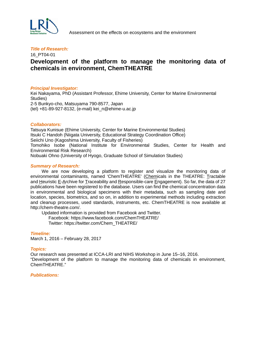

#### 16\_PT04-01

## **Development of the platform to manage the monitoring data of chemicals in environment, ChemTHEATRE**

#### *Principal Investigator:*

Kei Nakayama, PhD (Assistant Professor, Ehime University, Center for Marine Environmental Studies) 2-5 Bunkyo-cho, Matsuyama 790-8577, Japan (tel) +81-89-927-8132, (e-mail) kei\_n@ehime-u.ac.jp

#### *Collaborators:*

Tatsuya Kunisue (Ehime University, Center for Marine Environmental Studies) Itsuki C Handoh (Niigata University, Educational Strategy Coordination Office) Seiichi Uno (Kagoshima University, Faculty of Fisheries) Tomohiko Isobe (National Institute for Environmental Studies, Center for Health and Environmental Risk Research) Nobuaki Ohno (University of Hyogo, Graduate School of Simulation Studies)

#### *Summary of Research:*

 We are now developing a platform to register and visualize the monitoring data of environmental contaminants, named 'ChemTHEATRE' (Chemicals in the THEATRE: Tractable and Heuristic E-Archive for Traceability and Responsible-care Engagement). So far, the data of 27 publications have been registered to the database. Users can find the chemical concentration data in environmental and biological specimens with their metadata, such as sampling date and location, species, biometrics, and so on, in addition to experimental methods including extraction and cleanup processes, used standards, instruments, etc. ChemTHEATRE is now available at http://chem-theatre.com/.

Updated information is provided from Facebook and Twitter.

Facebook: https://www.facebook.com/ChemTHEATRE/

Twitter: https://twitter.com/Chem\_THEATRE/

#### *Timeline:*

March 1, 2016 – February 28, 2017

#### *Topics:*

Our research was presented at ICCA-LRI and NIHS Workshop in June 15–16, 2016. "Development of the platform to manage the monitoring data of chemicals in environment, ChemTHEATRE."

#### *Publications:*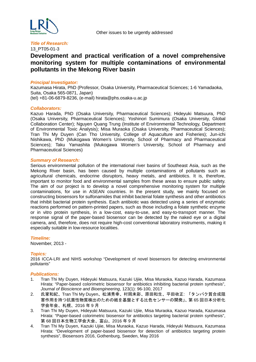

#### 13\_PT05-01-3

# **Development and practical verification of a novel comprehensive monitoring system for multiple contaminations of environmental pollutants in the Mekong River basin**

#### *Principal Investigator:*

Kazumasa Hirata, PhD (Professor, Osaka University, Pharmaceutical Sciences; 1-6 Yamadaoka, Suita, Osaka 565-0871, Japan) (tel) +81-06-6879-8236, (e-mail) hirata@phs.osaka-u.ac.jp

#### *Collaborators:*

Kazuo Harada, PhD (Osaka University, Pharmaceutical Sciences); Hideyuki Matsuura, PhD (Osaka University, Pharmaceutical Sciences); Yoshinori Sumimura (Osaka University, Global Collaboration Center); Nguyen Quang Trung (Institute of Environmental Technology, Department of Environmental Toxic Analysis); Misa Muraoka (Osaka University, Pharmaceutical Sciences); Tran Thi My Duyen (Can Tho University, College of Aquaculture and Fisheries); Jun-ichi Nishikawa, PhD (Mukogawa Women's University, School of Pharmacy and Pharmaceutical Sciences); Taku Yamashita (Mukogawa Women's University, School of Pharmacy and Pharmaceutical Sciences)

#### *Summary of Research:*

Serious environmental pollution of the international river basins of Southeast Asia, such as the Mekong River basin, has been caused by multiple contaminations of pollutants such as agricultural chemicals, endocrine disruptors, heavy metals, and antibiotics. It is, therefore, important to monitor food and environmental samples from these areas to ensure public safety. The aim of our project is to develop a novel comprehensive monitoring system for multiple contaminations, for use in ASEAN countries. In the present study, we mainly focused on constructing biosensors for sulfonamides that inhibit bacterial folate synthesis and other antibiotics that inhibit bacterial protein synthesis. Each antibiotic was detected using a series of enzymatic reactions performed on pattern-printed papers, such as those including a folate synthetic enzyme or in vitro protein synthesis, in a low-cost, easy-to-use, and easy-to-transport manner. The response signal of the paper-based biosensor can be detected by the naked eye or a digital camera, and, therefore, does not require high-cost conventional laboratory instruments, making it especially suitable in low-resource localities.

#### *Timeline:*

November, 2013 -

#### *Topics:*

2016 ICCA-LRI and NIHS workshop "Development of novel biosensors for detecting environmental pollutants"

#### *Publications:*

- 1. Tran Thi My Duyen, Hideyuki Matsuura, Kazuki Ujiie, Misa Muraoka, Kazuo Harada, Kazumasa Hirata: "Paper-based colorimetric biosensor for antibiotics inhibiting bacterial protein synthesis", *Journal of Bioscience and Bioengineering*, 123(1): 96-100, 2017
- 2. 氏家和紀、Tran Thi My Duyen、松浦秀幸、村岡未彩、原田和生、平田收正: 「タンパク質合成阻 害作用を持つ抗菌性物質検出のための紙を基盤とする比色センサーの開発」、第 65 回日本分析化 学会年会、札幌、2016 年 9 月
- 3. Tran Thi My Duyen, Hideyuki Matsuura, Kazuki Ujiie, Misa Muraoka, Kazuo Harada, Kazumasa Hirata: "Paper-based colorimetric biosensor for antibiotics targeting bacterial protein synthesis", 第 68 回日本生物工学会大会、富山、2016 年 9 月
- 4. Tran Thi My Duyen, Kazuki Ujiie, Misa Muraoka, Kazuo Harada, Hideyuki Matsuura, Kazumasa Hirata: "Development of paper-based biosensor for detection of antibiotics targeting protein synthesis", Biosensors 2016, Gothenburg, Sweden, May 2016